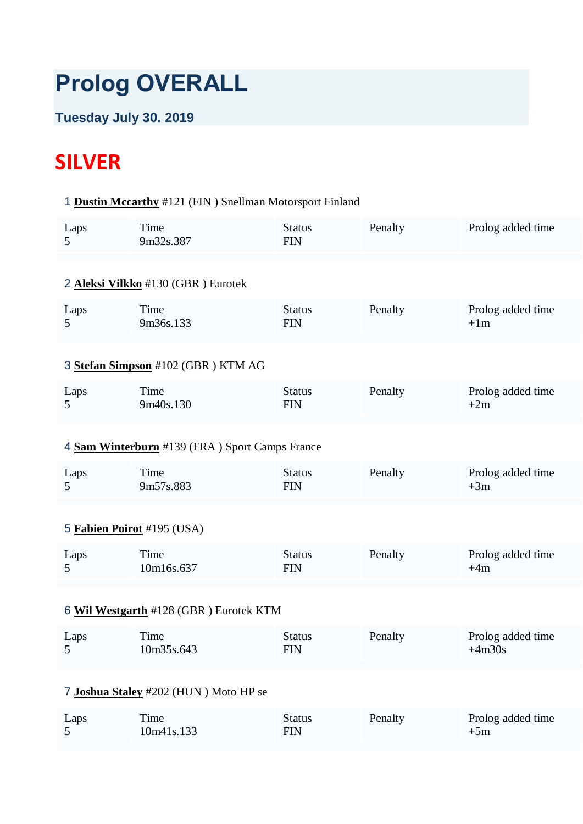# **Prolog OVERALL**

# **Tuesday July 30. 2019**

# **SILVER**

# 1 **[Dustin Mccarthy](https://www.redbullromaniacs.com/for-competitors/profile/?e=rbr2019&b=121)** #121 (FIN ) Snellman Motorsport Finland

| Laps | Time<br>9m32s.387 | Status<br>FIN | Penalty | Prolog added time |
|------|-------------------|---------------|---------|-------------------|
|------|-------------------|---------------|---------|-------------------|

#### 2 **[Aleksi Vilkko](https://www.redbullromaniacs.com/for-competitors/profile/?e=rbr2019&b=130)** #130 (GBR ) Eurotek

| Laps | <b>Time</b><br>9m36s.133 | Status<br>FIN | Penalty | Prolog added time<br>$+1m$ |
|------|--------------------------|---------------|---------|----------------------------|
|------|--------------------------|---------------|---------|----------------------------|

# 3 **[Stefan Simpson](https://www.redbullromaniacs.com/for-competitors/profile/?e=rbr2019&b=102)** #102 (GBR ) KTM AG

| Laps | Time      | Status | Penalty | Prolog added time |
|------|-----------|--------|---------|-------------------|
|      | 9m40s.130 | FIN    |         | $+2m$             |

# 4 **[Sam Winterburn](https://www.redbullromaniacs.com/for-competitors/profile/?e=rbr2019&b=139)** #139 (FRA ) Sport Camps France

| Laps | Time      | Status | Penalty | Prolog added time |
|------|-----------|--------|---------|-------------------|
|      | 9m57s.883 | FIN    |         | $+3m$             |

# 5 **[Fabien Poirot](https://www.redbullromaniacs.com/for-competitors/profile/?e=rbr2019&b=195)** #195 (USA)

| Laps | Time       | Status | Penalty | Prolog added time |
|------|------------|--------|---------|-------------------|
|      | 10m16s.637 | FIN    |         | $+4m$             |

#### 6 **[Wil Westgarth](https://www.redbullromaniacs.com/for-competitors/profile/?e=rbr2019&b=128)** #128 (GBR ) Eurotek KTM

| Laps | Time       | Status | Penalty | Prolog added time |
|------|------------|--------|---------|-------------------|
|      | 10m35s.643 | FIN    |         | $+4m30s$          |

# 7 **[Joshua Staley](https://www.redbullromaniacs.com/for-competitors/profile/?e=rbr2019&b=202)** #202 (HUN ) Moto HP se

| Laps | ime        | Status | Penalty | Prolog added time |
|------|------------|--------|---------|-------------------|
|      | 10m41s.133 | FIN    |         | $+5m$             |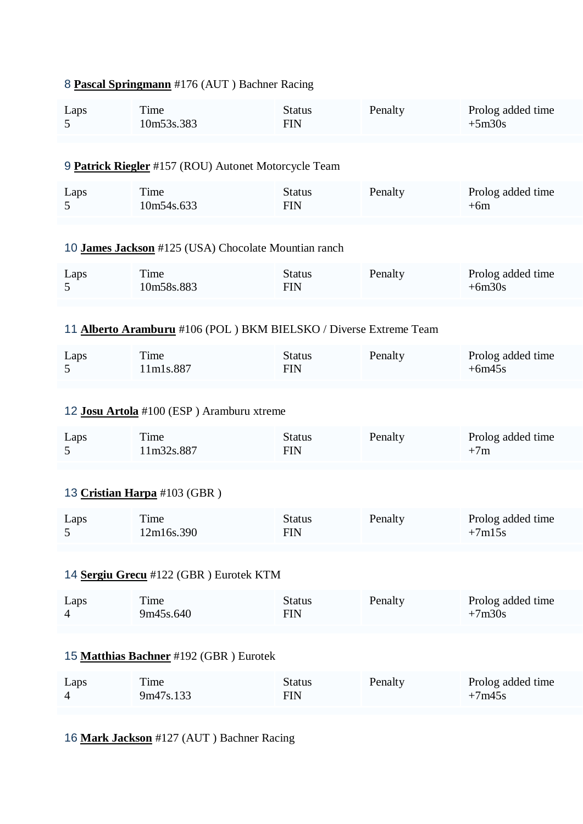|                                        | <b><u>I ascar Springmann</u></b> $\pi_1$ / 0 (AOT ) Daching Kacing |                             |         |                               |
|----------------------------------------|--------------------------------------------------------------------|-----------------------------|---------|-------------------------------|
| Laps<br>5                              | Time<br>10m53s.383                                                 | <b>Status</b><br><b>FIN</b> | Penalty | Prolog added time<br>$+5m30s$ |
|                                        | 9 Patrick Riegler #157 (ROU) Autonet Motorcycle Team               |                             |         |                               |
| Laps<br>5                              | Time<br>10m54s.633                                                 | <b>Status</b><br><b>FIN</b> | Penalty | Prolog added time<br>$+6m$    |
|                                        | 10 James Jackson #125 (USA) Chocolate Mountian ranch               |                             |         |                               |
| Laps<br>5                              | Time<br>10m58s.883                                                 | <b>Status</b><br><b>FIN</b> | Penalty | Prolog added time<br>$+6m30s$ |
|                                        | 11 Alberto Aramburu #106 (POL) BKM BIELSKO / Diverse Extreme Team  |                             |         |                               |
| Laps<br>5                              | Time<br>11m1s.887                                                  | <b>Status</b><br><b>FIN</b> | Penalty | Prolog added time<br>$+6m45s$ |
|                                        |                                                                    |                             |         |                               |
|                                        | 12 Josu Artola #100 (ESP) Aramburu xtreme                          |                             |         |                               |
| Laps<br>5                              | Time<br>11m32s.887                                                 | <b>Status</b><br><b>FIN</b> | Penalty | Prolog added time<br>$+7m$    |
|                                        | 13 Cristian Harpa #103 (GBR)                                       |                             |         |                               |
| Laps<br>5                              | Time<br>12m16s.390                                                 | <b>Status</b><br><b>FIN</b> | Penalty | Prolog added time<br>$+7m15s$ |
|                                        |                                                                    |                             |         |                               |
|                                        | 14 Sergiu Grecu #122 (GBR) Eurotek KTM                             |                             |         |                               |
| Laps<br>$\overline{4}$                 | Time<br>9m45s.640                                                  | <b>Status</b><br><b>FIN</b> | Penalty | Prolog added time<br>$+7m30s$ |
| 15 Matthias Bachner #192 (GBR) Eurotek |                                                                    |                             |         |                               |
| Laps<br>4                              | Time<br>9m47s.133                                                  | <b>Status</b><br><b>FIN</b> | Penalty | Prolog added time<br>$+7m45s$ |
|                                        |                                                                    |                             |         |                               |

# 16 **[Mark Jackson](https://www.redbullromaniacs.com/for-competitors/profile/?e=rbr2019&b=127)** #127 (AUT ) Bachner Racing

# 8 **[Pascal Springmann](https://www.redbullromaniacs.com/for-competitors/profile/?e=rbr2019&b=176)** #176 (AUT ) Bachner Racing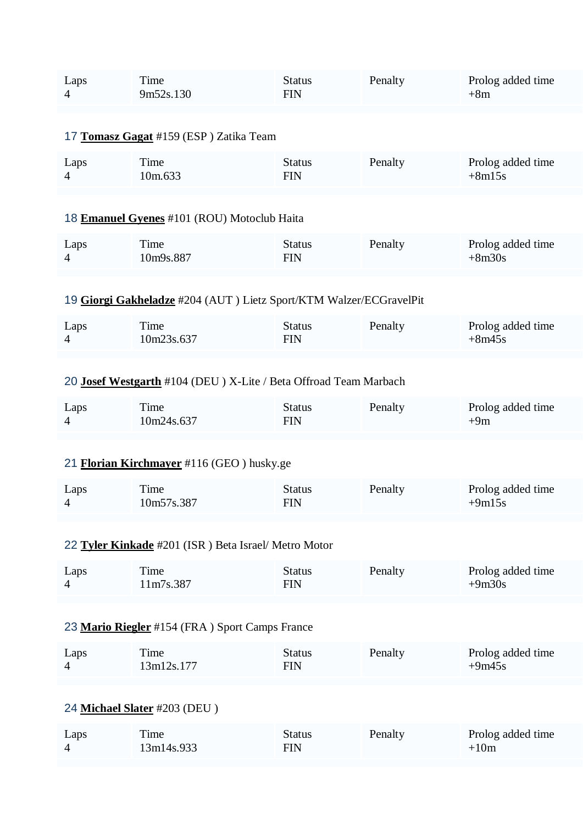| Laps<br>Time<br>9m52s.130<br>$\overline{4}$ | Penalty<br>Status<br>FIN | Prolog added time<br>$+8m$ |
|---------------------------------------------|--------------------------|----------------------------|
|---------------------------------------------|--------------------------|----------------------------|

## 17 **[Tomasz Gagat](https://www.redbullromaniacs.com/for-competitors/profile/?e=rbr2019&b=159)** #159 (ESP ) Zatika Team

| Laps           | Time    | <b>Status</b> | Penalty | Prolog added time |
|----------------|---------|---------------|---------|-------------------|
| $\overline{4}$ | 10m.633 | FIN           |         | $+8m15s$          |

#### 18 **[Emanuel Gyenes](https://www.redbullromaniacs.com/for-competitors/profile/?e=rbr2019&b=101)** #101 (ROU) Motoclub Haita

| Laps | ime       | Status | Penalty | Prolog added time |
|------|-----------|--------|---------|-------------------|
|      | 10m9s.887 | FIN    |         | $+8m30s$          |

# 19 **[Giorgi Gakheladze](https://www.redbullromaniacs.com/for-competitors/profile/?e=rbr2019&b=204)** #204 (AUT ) Lietz Sport/KTM Walzer/ECGravelPit

| Laps | Time       | Status | Penalty | Prolog added time |
|------|------------|--------|---------|-------------------|
|      | 10m23s.637 | FIN    |         | $+8m45s$          |

## 20 **[Josef Westgarth](https://www.redbullromaniacs.com/for-competitors/profile/?e=rbr2019&b=104)** #104 (DEU ) X-Lite / Beta Offroad Team Marbach

| Laps | ime.       | Status | Penalty | Prolog added time |
|------|------------|--------|---------|-------------------|
|      | 10m24s.637 | FIN    |         | $+9m$             |

## 21 **[Florian Kirchmayer](https://www.redbullromaniacs.com/for-competitors/profile/?e=rbr2019&b=116)** #116 (GEO ) husky.ge

| Laps | ime        | Status | Penalty | Prolog added time |
|------|------------|--------|---------|-------------------|
|      | 10m57s.387 | FIN    |         | $+9m15s$          |

#### 22 **[Tyler Kinkade](https://www.redbullromaniacs.com/for-competitors/profile/?e=rbr2019&b=201)** #201 (ISR ) Beta Israel/ Metro Motor

| Laps     | Time      | Status | Penalty | Prolog added time |
|----------|-----------|--------|---------|-------------------|
| $\Delta$ | 11m7s.387 | FIN    |         | $+9m30s$          |

## 23 **[Mario Riegler](https://www.redbullromaniacs.com/for-competitors/profile/?e=rbr2019&b=154)** #154 (FRA ) Sport Camps France

| Laps | ime.       | Status | Penalty | Prolog added time |
|------|------------|--------|---------|-------------------|
|      | 13m12s.177 | FIN    |         | $+9m45s$          |

#### 24 **[Michael Slater](https://www.redbullromaniacs.com/for-competitors/profile/?e=rbr2019&b=203)** #203 (DEU )

| Laps | Time       | Status | Penalty | Prolog added time |
|------|------------|--------|---------|-------------------|
|      | 13m14s.933 | FIN    |         | $+10m$            |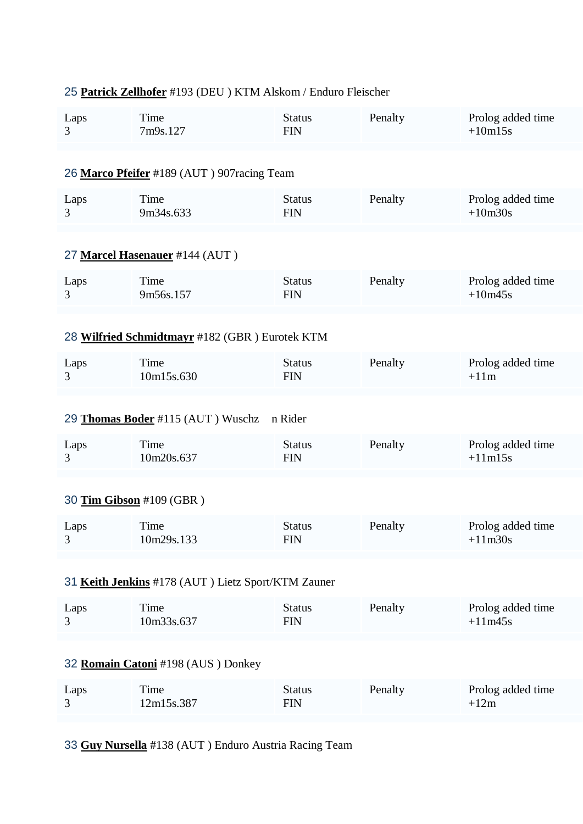# 25 **[Patrick Zellhofer](https://www.redbullromaniacs.com/for-competitors/profile/?e=rbr2019&b=193)** #193 (DEU ) KTM Alskom / Enduro Fleischer

| Laps                                               | Time                                           | <b>Status</b> | Penalty | Prolog added time |
|----------------------------------------------------|------------------------------------------------|---------------|---------|-------------------|
| 3                                                  | 7m9s.127                                       | <b>FIN</b>    |         | $+10m15s$         |
|                                                    | 26 Marco Pfeifer #189 (AUT) 907 racing Team    |               |         |                   |
| Laps                                               | Time                                           | <b>Status</b> | Penalty | Prolog added time |
| 3                                                  | 9m34s.633                                      | <b>FIN</b>    |         | $+10m30s$         |
|                                                    | 27 Marcel Hasenauer #144 (AUT)                 |               |         |                   |
| Laps                                               | Time                                           | <b>Status</b> | Penalty | Prolog added time |
| 3                                                  | 9m56s.157                                      | <b>FIN</b>    |         | $+10m45s$         |
|                                                    | 28 Wilfried Schmidtmayr #182 (GBR) Eurotek KTM |               |         |                   |
| Laps                                               | Time                                           | <b>Status</b> | Penalty | Prolog added time |
| 3                                                  | 10m15s.630                                     | <b>FIN</b>    |         | $+11m$            |
|                                                    | 29 Thomas Boder #115 (AUT) Wuschz              | n Rider       |         |                   |
| Laps                                               | Time                                           | <b>Status</b> | Penalty | Prolog added time |
| 3                                                  | 10m20s.637                                     | <b>FIN</b>    |         | $+11m15s$         |
|                                                    | 30 Tim Gibson #109 (GBR)                       |               |         |                   |
| Laps                                               | Time                                           | <b>Status</b> | Penalty | Prolog added time |
| 3                                                  | 10m29s.133                                     | <b>FIN</b>    |         | $+11m30s$         |
| 31 Keith Jenkins #178 (AUT) Lietz Sport/KTM Zauner |                                                |               |         |                   |
| Laps                                               | Time                                           | <b>Status</b> | Penalty | Prolog added time |
| 3                                                  | 10m33s.637                                     | <b>FIN</b>    |         | $+11m45s$         |
| 32 Romain Catoni #198 (AUS) Donkey                 |                                                |               |         |                   |
| Laps                                               | Time                                           | <b>Status</b> | Penalty | Prolog added time |
| 3                                                  | 12m15s.387                                     | <b>FIN</b>    |         | $+12m$            |
|                                                    |                                                |               |         |                   |

33 **[Guy Nursella](https://www.redbullromaniacs.com/for-competitors/profile/?e=rbr2019&b=138)** #138 (AUT ) Enduro Austria Racing Team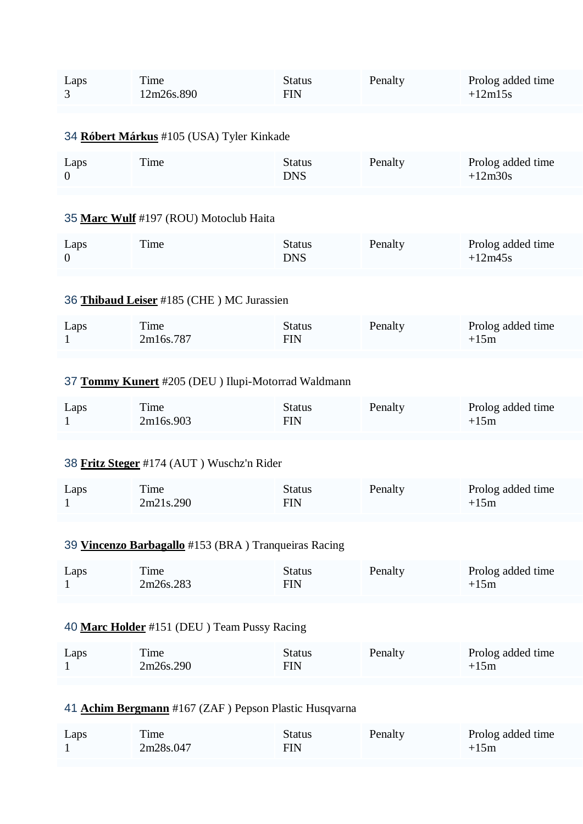| Laps | Time       | <b>Status</b> | Penalty | Prolog added time |
|------|------------|---------------|---------|-------------------|
| 3    | 12m26s.890 | <b>FIN</b>    |         | $+12m15s$         |
|      |            |               |         |                   |

## 34 **[Róbert Márkus](https://www.redbullromaniacs.com/for-competitors/profile/?e=rbr2019&b=105)** #105 (USA) Tyler Kinkade

| Laps | Status | Penalty | Prolog added time |
|------|--------|---------|-------------------|
| ime. | DNS    |         | $+12m30s$         |

#### 35 **[Marc Wulf](https://www.redbullromaniacs.com/for-competitors/profile/?e=rbr2019&b=197)** #197 (ROU) Motoclub Haita

| Laps | Time | Status | Penalty | Prolog added time |
|------|------|--------|---------|-------------------|
|      |      | DNS    |         | $+12m45s$         |

## 36 **[Thibaud Leiser](https://www.redbullromaniacs.com/for-competitors/profile/?e=rbr2019&b=185)** #185 (CHE ) MC Jurassien

| Laps | Time      | Status | Penalty | Prolog added time |
|------|-----------|--------|---------|-------------------|
|      | 2m16s.787 | FIN    |         | $+15m$            |

# 37 **[Tommy Kunert](https://www.redbullromaniacs.com/for-competitors/profile/?e=rbr2019&b=205)** #205 (DEU ) Ilupi-Motorrad Waldmann

| Laps | ime.      | Status<br>FIN | Penalty | Prolog added time |
|------|-----------|---------------|---------|-------------------|
|      | 2m16s.903 |               |         | $+15m$            |

## 38 **[Fritz Steger](https://www.redbullromaniacs.com/for-competitors/profile/?e=rbr2019&b=174)** #174 (AUT ) Wuschz'n Rider

| Laps | Time      | Status | Penalty | Prolog added time |
|------|-----------|--------|---------|-------------------|
|      | 2m21s.290 | FIN    |         | $+15m$            |

# 39 **[Vincenzo Barbagallo](https://www.redbullromaniacs.com/for-competitors/profile/?e=rbr2019&b=153)** #153 (BRA ) Tranqueiras Racing

| Laps | Time      | Status | Penalty | Prolog added time |
|------|-----------|--------|---------|-------------------|
|      | 2m26s.283 | FIN    |         | $+15m$            |

#### 40 **[Marc Holder](https://www.redbullromaniacs.com/for-competitors/profile/?e=rbr2019&b=151)** #151 (DEU ) Team Pussy Racing

| Laps | Time      | Status | Penalty | Prolog added time |
|------|-----------|--------|---------|-------------------|
|      | 2m26s.290 | FIN    |         | $+15m$            |

# 41 **[Achim Bergmann](https://www.redbullromaniacs.com/for-competitors/profile/?e=rbr2019&b=167)** #167 (ZAF ) Pepson Plastic Husqvarna

| Laps | `ime      | Status | Penalty | Prolog added time |
|------|-----------|--------|---------|-------------------|
|      | 2m28s.047 | FIN    |         | $+15m$            |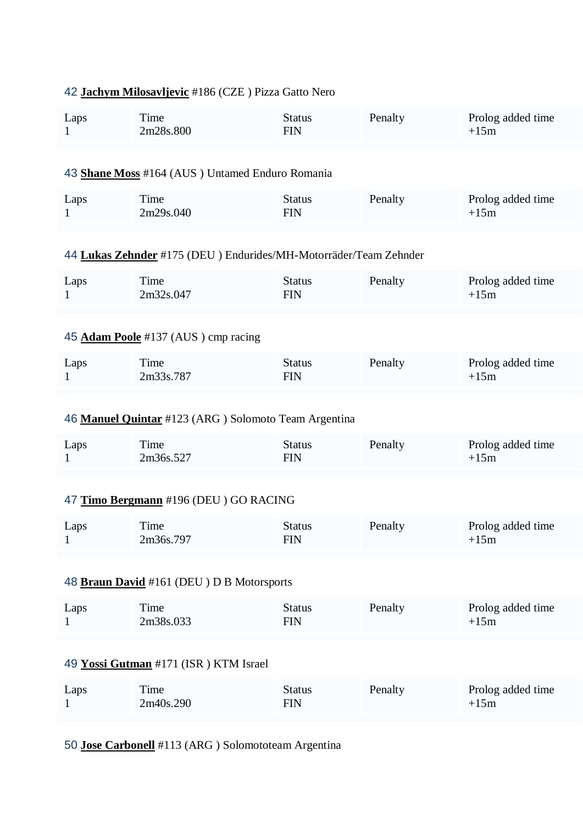| 42 Jachym Milosavljevic #186 (CZE) Pizza Gatto Nero |                                                                  |                             |         |                             |  |  |
|-----------------------------------------------------|------------------------------------------------------------------|-----------------------------|---------|-----------------------------|--|--|
| Laps<br>1                                           | Time<br>2m28s.800                                                | <b>Status</b><br><b>FIN</b> | Penalty | Prolog added time<br>$+15m$ |  |  |
| 43 Shane Moss #164 (AUS) Untamed Enduro Romania     |                                                                  |                             |         |                             |  |  |
| Laps<br>$\mathbf{1}$                                | Time<br>2m29s.040                                                | <b>Status</b><br><b>FIN</b> | Penalty | Prolog added time<br>$+15m$ |  |  |
|                                                     | 44 Lukas Zehnder #175 (DEU) Endurides/MH-Motorräder/Team Zehnder |                             |         |                             |  |  |
| Laps<br>$\mathbf{1}$                                | Time<br>2m32s.047                                                | <b>Status</b><br><b>FIN</b> | Penalty | Prolog added time<br>$+15m$ |  |  |
|                                                     | 45 Adam Poole #137 (AUS) cmp racing                              |                             |         |                             |  |  |
| Laps<br>1                                           | Time<br>2m33s.787                                                | <b>Status</b><br><b>FIN</b> | Penalty | Prolog added time<br>$+15m$ |  |  |
|                                                     | 46 Manuel Quintar #123 (ARG) Solomoto Team Argentina             |                             |         |                             |  |  |
| Laps<br>1                                           | Time<br>2m36s.527                                                | <b>Status</b><br><b>FIN</b> | Penalty | Prolog added time<br>$+15m$ |  |  |
|                                                     | 47 Timo Bergmann #196 (DEU) GO RACING                            |                             |         |                             |  |  |
| Laps<br>$\mathbf{1}$                                | Time<br>2m36s.797                                                | Status<br><b>FIN</b>        | Penalty | Prolog added time<br>$+15m$ |  |  |
| 48 Braun David #161 (DEU) D B Motorsports           |                                                                  |                             |         |                             |  |  |
| Laps<br>$\mathbf{1}$                                | Time<br>2m38s.033                                                | <b>Status</b><br><b>FIN</b> | Penalty | Prolog added time<br>$+15m$ |  |  |
| 49 Yossi Gutman #171 (ISR) KTM Israel               |                                                                  |                             |         |                             |  |  |
| Laps<br>$\mathbf{1}$                                | Time<br>2m40s.290                                                | <b>Status</b><br><b>FIN</b> | Penalty | Prolog added time<br>$+15m$ |  |  |
| 50 Jose Carbonell #113 (ARG) Solomototeam Argentina |                                                                  |                             |         |                             |  |  |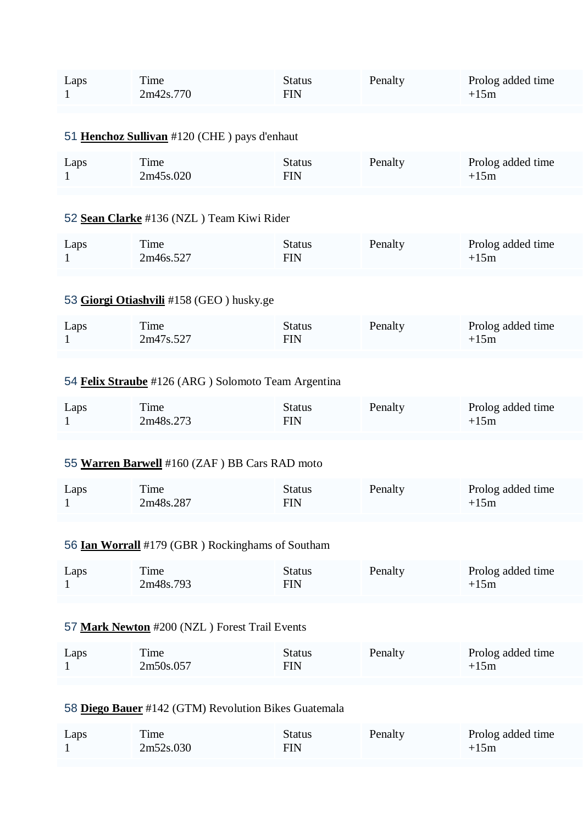| Laps<br>1                                           | Time<br>2m42s.770                             | <b>Status</b><br><b>FIN</b> | Penalty | Prolog added time<br>$+15m$ |  |
|-----------------------------------------------------|-----------------------------------------------|-----------------------------|---------|-----------------------------|--|
|                                                     | 51 Henchoz Sullivan #120 (CHE) pays d'enhaut  |                             |         |                             |  |
| Laps<br>1                                           | Time<br>2m45s.020                             | <b>Status</b><br><b>FIN</b> | Penalty | Prolog added time<br>$+15m$ |  |
|                                                     | 52 Sean Clarke #136 (NZL) Team Kiwi Rider     |                             |         |                             |  |
| Laps<br>1                                           | Time<br>2m46s.527                             | <b>Status</b><br><b>FIN</b> | Penalty | Prolog added time<br>$+15m$ |  |
|                                                     | 53 Giorgi Otiashvili #158 (GEO) husky.ge      |                             |         |                             |  |
| Laps<br>1                                           | Time<br>2m47s.527                             | <b>Status</b><br><b>FIN</b> | Penalty | Prolog added time<br>$+15m$ |  |
| 54 Felix Straube #126 (ARG) Solomoto Team Argentina |                                               |                             |         |                             |  |
| Laps<br>1                                           | Time<br>2m48s.273                             | <b>Status</b><br><b>FIN</b> | Penalty | Prolog added time<br>$+15m$ |  |
|                                                     | 55 Warren Barwell #160 (ZAF) BB Cars RAD moto |                             |         |                             |  |
|                                                     |                                               |                             |         |                             |  |

| Laps | ime.      | Status | Penalty | Prolog added time |
|------|-----------|--------|---------|-------------------|
|      | 2m48s.287 | FIN    |         | +15m              |

# 56 **[Ian Worrall](https://www.redbullromaniacs.com/for-competitors/profile/?e=rbr2019&b=179)** #179 (GBR ) Rockinghams of Southam

| Laps | l'ime<br>2m48s.793 | Status<br>FIN | Penalty | Prolog added time<br>$+15m$ |
|------|--------------------|---------------|---------|-----------------------------|
|------|--------------------|---------------|---------|-----------------------------|

# 57 **[Mark Newton](https://www.redbullromaniacs.com/for-competitors/profile/?e=rbr2019&b=200)** #200 (NZL ) Forest Trail Events

| Laps | Time      | Status | Penalty | Prolog added time |
|------|-----------|--------|---------|-------------------|
|      | 2m50s.057 | FIN    |         | $+15m$            |

# 58 **[Diego Bauer](https://www.redbullromaniacs.com/for-competitors/profile/?e=rbr2019&b=142)** #142 (GTM) Revolution Bikes Guatemala

| Laps | Time      | Status | Penalty | Prolog added time |
|------|-----------|--------|---------|-------------------|
|      | 2m52s.030 | FIN    |         | +15m              |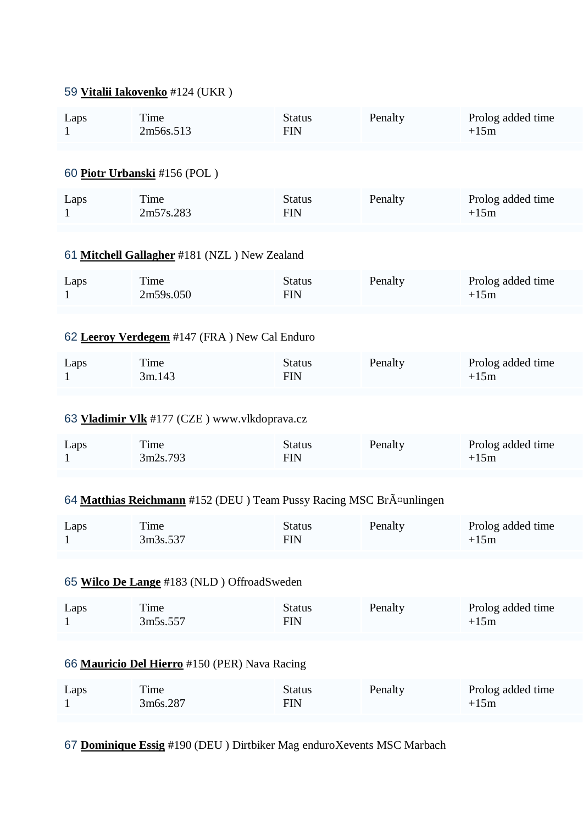# 59 **[Vitalii Iakovenko](https://www.redbullromaniacs.com/for-competitors/profile/?e=rbr2019&b=124)** #124 (UKR )

| Laps<br>$\mathbf{1}$                          | Time<br>2m56s.513                                                   | <b>Status</b><br><b>FIN</b> | Penalty | Prolog added time<br>$+15m$ |  |
|-----------------------------------------------|---------------------------------------------------------------------|-----------------------------|---------|-----------------------------|--|
|                                               |                                                                     |                             |         |                             |  |
|                                               | 60 Piotr Urbanski #156 (POL)                                        |                             |         |                             |  |
| Laps<br>$\mathbf{1}$                          | Time<br>2m57s.283                                                   | <b>Status</b><br><b>FIN</b> | Penalty | Prolog added time<br>$+15m$ |  |
|                                               | 61 Mitchell Gallagher #181 (NZL) New Zealand                        |                             |         |                             |  |
| Laps<br>$\mathbf{1}$                          | Time<br>2m59s.050                                                   | <b>Status</b><br><b>FIN</b> | Penalty | Prolog added time<br>$+15m$ |  |
|                                               | 62 Leeroy Verdegem #147 (FRA) New Cal Enduro                        |                             |         |                             |  |
| Laps<br>1                                     | Time<br>3m.143                                                      | <b>Status</b><br><b>FIN</b> | Penalty | Prolog added time<br>$+15m$ |  |
|                                               | 63 <b>Vladimir Vlk</b> #177 (CZE) www.vlkdoprava.cz                 |                             |         |                             |  |
| Laps<br>1                                     | Time<br>3m2s.793                                                    | <b>Status</b><br><b>FIN</b> | Penalty | Prolog added time<br>$+15m$ |  |
|                                               | 64 Matthias Reichmann #152 (DEU) Team Pussy Racing MSC BrA¤unlingen |                             |         |                             |  |
| Laps                                          | Time<br>3m3s.537                                                    | <b>Status</b><br><b>FIN</b> | Penalty | Prolog added time<br>$+15m$ |  |
|                                               |                                                                     |                             |         |                             |  |
| 65 Wilco De Lange #183 (NLD) OffroadSweden    |                                                                     |                             |         |                             |  |
| Laps<br>1                                     | Time<br>3m5s.557                                                    | <b>Status</b><br><b>FIN</b> | Penalty | Prolog added time<br>$+15m$ |  |
| 66 Mauricio Del Hierro #150 (PER) Nava Racing |                                                                     |                             |         |                             |  |
| Laps<br>1                                     | Time<br>3m6s.287                                                    | <b>Status</b><br><b>FIN</b> | Penalty | Prolog added time<br>$+15m$ |  |
|                                               |                                                                     |                             |         |                             |  |

67 **[Dominique Essig](https://www.redbullromaniacs.com/for-competitors/profile/?e=rbr2019&b=190)** #190 (DEU ) Dirtbiker Mag enduroXevents MSC Marbach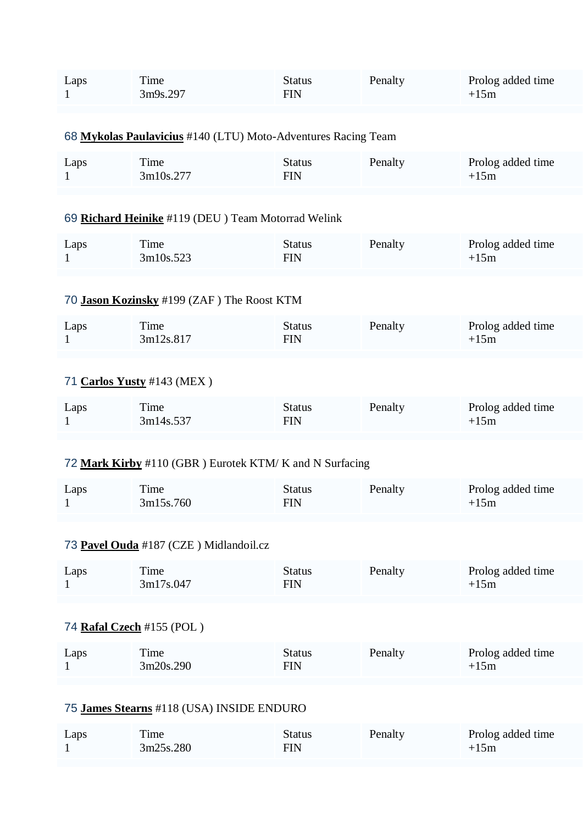| Laps<br>1                 | Time<br>3m9s.297                                              | <b>Status</b><br><b>FIN</b> | Penalty | Prolog added time<br>$+15m$ |  |
|---------------------------|---------------------------------------------------------------|-----------------------------|---------|-----------------------------|--|
|                           | 68 Mykolas Paulavicius #140 (LTU) Moto-Adventures Racing Team |                             |         |                             |  |
| Laps<br>1                 | Time<br>3m10s.277                                             | <b>Status</b><br><b>FIN</b> | Penalty | Prolog added time<br>$+15m$ |  |
|                           | 69 Richard Heinike #119 (DEU) Team Motorrad Welink            |                             |         |                             |  |
| Laps<br>1                 | Time<br>3m10s.523                                             | <b>Status</b><br><b>FIN</b> | Penalty | Prolog added time<br>$+15m$ |  |
|                           | 70 Jason Kozinsky #199 (ZAF) The Roost KTM                    |                             |         |                             |  |
| Laps<br>1                 | Time<br>3m12s.817                                             | <b>Status</b><br><b>FIN</b> | Penalty | Prolog added time<br>$+15m$ |  |
|                           | 71 Carlos Yusty #143 (MEX)                                    |                             |         |                             |  |
| Laps<br>$\mathbf{1}$      | Time<br>3m14s.537                                             | <b>Status</b><br><b>FIN</b> | Penalty | Prolog added time<br>$+15m$ |  |
|                           | 72 Mark Kirby #110 (GBR) Eurotek KTM/K and N Surfacing        |                             |         |                             |  |
| Laps                      | Time<br>3m15s.760                                             | <b>Status</b><br><b>FIN</b> | Penalty | Prolog added time<br>$+15m$ |  |
|                           | 73 Pavel Ouda #187 (CZE) Midlandoil.cz                        |                             |         |                             |  |
| Laps<br>$\mathbf{1}$      | Time<br>3m17s.047                                             | <b>Status</b><br><b>FIN</b> | Penalty | Prolog added time<br>$+15m$ |  |
| 74 Rafal Czech #155 (POL) |                                                               |                             |         |                             |  |
| Laps<br>$\mathbf{1}$      | Time<br>3m20s.290                                             | <b>Status</b><br><b>FIN</b> | Penalty | Prolog added time<br>$+15m$ |  |
|                           | 75 James Stearns #118 (USA) INSIDE ENDURO                     |                             |         |                             |  |

| Laps | ime       | Status | Penalty | Prolog added time |
|------|-----------|--------|---------|-------------------|
|      | 3m25s.280 | FIN    |         | $+15m$            |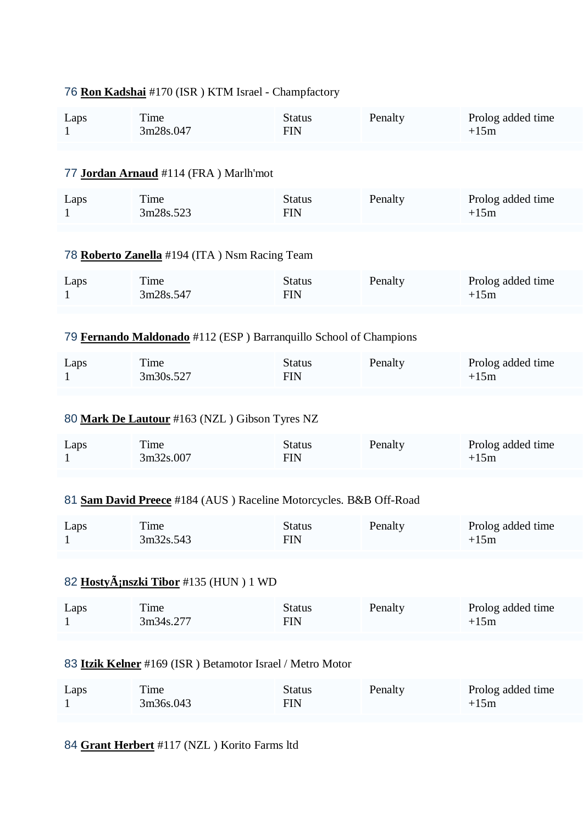|                                                                   | <u>U Roll Rauslial</u> #170 (ISR) K110 ISIaCl - Champiactory      |                             |         |                             |  |  |
|-------------------------------------------------------------------|-------------------------------------------------------------------|-----------------------------|---------|-----------------------------|--|--|
| Laps<br>1                                                         | Time<br>3m28s.047                                                 | <b>Status</b><br><b>FIN</b> | Penalty | Prolog added time<br>$+15m$ |  |  |
|                                                                   | 77 Jordan Arnaud #114 (FRA) Marlh'mot                             |                             |         |                             |  |  |
| Laps<br>1                                                         | Time<br>3m28s.523                                                 | <b>Status</b><br><b>FIN</b> | Penalty | Prolog added time<br>$+15m$ |  |  |
|                                                                   | 78 Roberto Zanella #194 (ITA) Nsm Racing Team                     |                             |         |                             |  |  |
| Laps<br>1                                                         | Time<br>3m28s.547                                                 | <b>Status</b><br><b>FIN</b> | Penalty | Prolog added time<br>$+15m$ |  |  |
|                                                                   | 79 Fernando Maldonado #112 (ESP) Barranquillo School of Champions |                             |         |                             |  |  |
| Laps<br>1                                                         | Time<br>3m30s.527                                                 | <b>Status</b><br><b>FIN</b> | Penalty | Prolog added time<br>$+15m$ |  |  |
| 80 Mark De Lautour #163 (NZL) Gibson Tyres NZ                     |                                                                   |                             |         |                             |  |  |
| Laps<br>1                                                         | Time<br>3m32s.007                                                 | <b>Status</b><br><b>FIN</b> | Penalty | Prolog added time<br>$+15m$ |  |  |
| 81 Sam David Preece #184 (AUS) Raceline Motorcycles. B&B Off-Road |                                                                   |                             |         |                             |  |  |
| Laps<br>$\mathbf{1}$                                              | Time<br>3m32s.543                                                 | <b>Status</b><br><b>FIN</b> | Penalty | Prolog added time<br>$+15m$ |  |  |
| 82 HostyÄ;nszki Tibor #135 (HUN) 1 WD                             |                                                                   |                             |         |                             |  |  |
| Laps<br>1                                                         | Time<br>3m34s.277                                                 | <b>Status</b><br><b>FIN</b> | Penalty | Prolog added time<br>$+15m$ |  |  |
| 83 Itzik Kelner #169 (ISR) Betamotor Israel / Metro Motor         |                                                                   |                             |         |                             |  |  |
| Laps<br>$\mathbf{1}$                                              | Time<br>3m36s.043                                                 | <b>Status</b><br><b>FIN</b> | Penalty | Prolog added time<br>$+15m$ |  |  |
|                                                                   |                                                                   |                             |         |                             |  |  |

## 76 **[Ron Kadshai](https://www.redbullromaniacs.com/for-competitors/profile/?e=rbr2019&b=170)** #170 (ISR ) KTM Israel - Champfactory

84 **[Grant Herbert](https://www.redbullromaniacs.com/for-competitors/profile/?e=rbr2019&b=117)** #117 (NZL ) Korito Farms ltd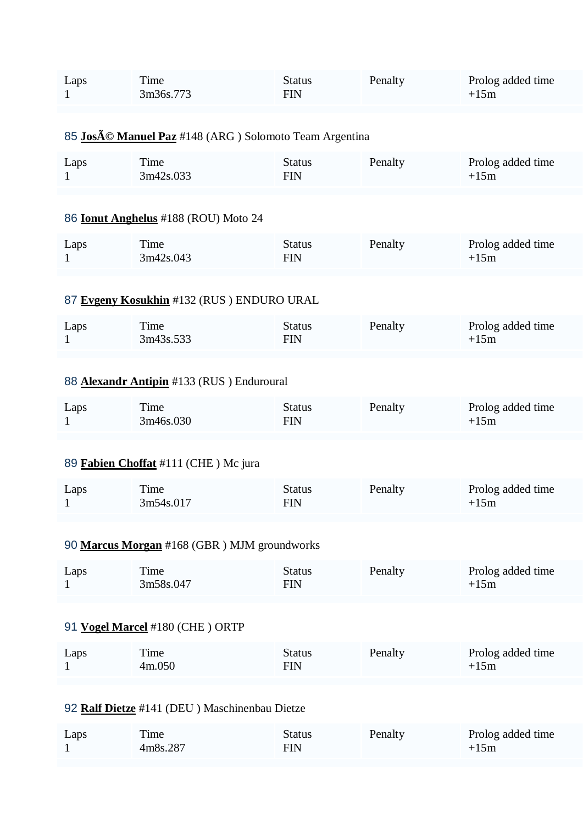| Laps<br>1                                     | Time<br>3m36s.773                                     | <b>Status</b><br><b>FIN</b> | Penalty | Prolog added time<br>$+15m$ |  |
|-----------------------------------------------|-------------------------------------------------------|-----------------------------|---------|-----------------------------|--|
|                                               | 85 José Manuel Paz #148 (ARG) Solomoto Team Argentina |                             |         |                             |  |
| Laps<br>1                                     | Time<br>3m42s.033                                     | <b>Status</b><br><b>FIN</b> | Penalty | Prolog added time<br>$+15m$ |  |
|                                               | 86 <b>Ionut Anghelus</b> #188 (ROU) Moto 24           |                             |         |                             |  |
| Laps<br>1                                     | Time<br>3m42s.043                                     | <b>Status</b><br><b>FIN</b> | Penalty | Prolog added time<br>$+15m$ |  |
|                                               | 87 Evgeny Kosukhin #132 (RUS) ENDURO URAL             |                             |         |                             |  |
| Laps<br>1                                     | Time<br>3m43s.533                                     | <b>Status</b><br><b>FIN</b> | Penalty | Prolog added time<br>$+15m$ |  |
| 88 Alexandr Antipin #133 (RUS) Enduroural     |                                                       |                             |         |                             |  |
| Laps<br>1                                     | Time<br>3m46s.030                                     | <b>Status</b><br><b>FIN</b> | Penalty | Prolog added time<br>$+15m$ |  |
| 89 Fabien Choffat #111 (CHE) Mc jura          |                                                       |                             |         |                             |  |
| Laps<br>1                                     | Time<br>3m54s.017                                     | <b>Status</b><br><b>FIN</b> | Penalty | Prolog added time<br>$+15m$ |  |
| 90 Marcus Morgan #168 (GBR) MJM groundworks   |                                                       |                             |         |                             |  |
| Laps<br>1                                     | Time<br>3m58s.047                                     | <b>Status</b><br><b>FIN</b> | Penalty | Prolog added time<br>$+15m$ |  |
| 91 Vogel Marcel #180 (CHE) ORTP               |                                                       |                             |         |                             |  |
| Laps<br>$\mathbf{1}$                          | Time<br>4m.050                                        | <b>Status</b><br><b>FIN</b> | Penalty | Prolog added time<br>$+15m$ |  |
| 92 Ralf Dietze #141 (DEU) Maschinenbau Dietze |                                                       |                             |         |                             |  |
| Laps                                          | Time                                                  | <b>Status</b>               | Penalty | Prolog added time           |  |

FIN

 $+15m$ 

1

4m8s.287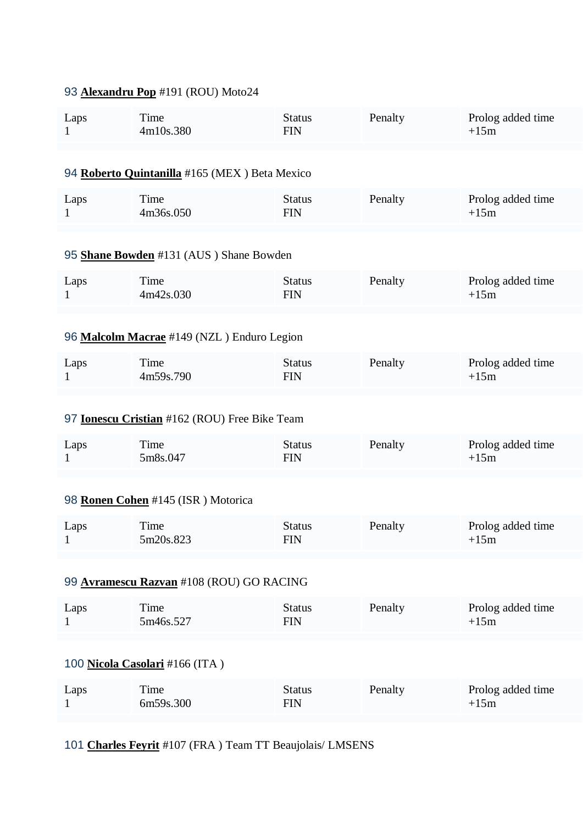# 93 **[Alexandru Pop](https://www.redbullromaniacs.com/for-competitors/profile/?e=rbr2019&b=191)** #191 (ROU) Moto24

| Laps<br>$\mathbf{1}$                                 | Time<br>4m10s.380                             | <b>Status</b><br><b>FIN</b> | Penalty | Prolog added time<br>$+15m$ |  |
|------------------------------------------------------|-----------------------------------------------|-----------------------------|---------|-----------------------------|--|
|                                                      | 94 Roberto Quintanilla #165 (MEX) Beta Mexico |                             |         |                             |  |
| Laps<br>$\mathbf{1}$                                 | Time<br>4m36s.050                             | <b>Status</b><br><b>FIN</b> | Penalty | Prolog added time<br>$+15m$ |  |
|                                                      | 95 Shane Bowden #131 (AUS) Shane Bowden       |                             |         |                             |  |
| Laps<br>1                                            | Time<br>4m42s.030                             | <b>Status</b><br><b>FIN</b> | Penalty | Prolog added time<br>$+15m$ |  |
| 96 Malcolm Macrae #149 (NZL) Enduro Legion           |                                               |                             |         |                             |  |
| Laps<br>1                                            | Time<br>4m59s.790                             | <b>Status</b><br><b>FIN</b> | Penalty | Prolog added time<br>$+15m$ |  |
| 97 <b>Ionescu Cristian</b> #162 (ROU) Free Bike Team |                                               |                             |         |                             |  |
| Laps<br>1                                            | Time<br>5m8s.047                              | <b>Status</b><br><b>FIN</b> | Penalty | Prolog added time<br>$+15m$ |  |
| 98 Ronen Cohen #145 (ISR) Motorica                   |                                               |                             |         |                             |  |
| Laps                                                 | Time<br>5m20s.823                             | <b>Status</b><br>FIN        | Penalty | Prolog added time<br>$+15m$ |  |
| 99 Avramescu Razvan #108 (ROU) GO RACING             |                                               |                             |         |                             |  |
| Laps<br>1                                            | Time<br>5m46s.527                             | <b>Status</b><br><b>FIN</b> | Penalty | Prolog added time<br>$+15m$ |  |
| 100 Nicola Casolari #166 (ITA)                       |                                               |                             |         |                             |  |
| Laps<br>1                                            | Time<br>6m59s.300                             | <b>Status</b><br><b>FIN</b> | Penalty | Prolog added time<br>$+15m$ |  |
|                                                      |                                               |                             |         |                             |  |

101 **[Charles Feyrit](https://www.redbullromaniacs.com/for-competitors/profile/?e=rbr2019&b=107)** #107 (FRA ) Team TT Beaujolais/ LMSENS